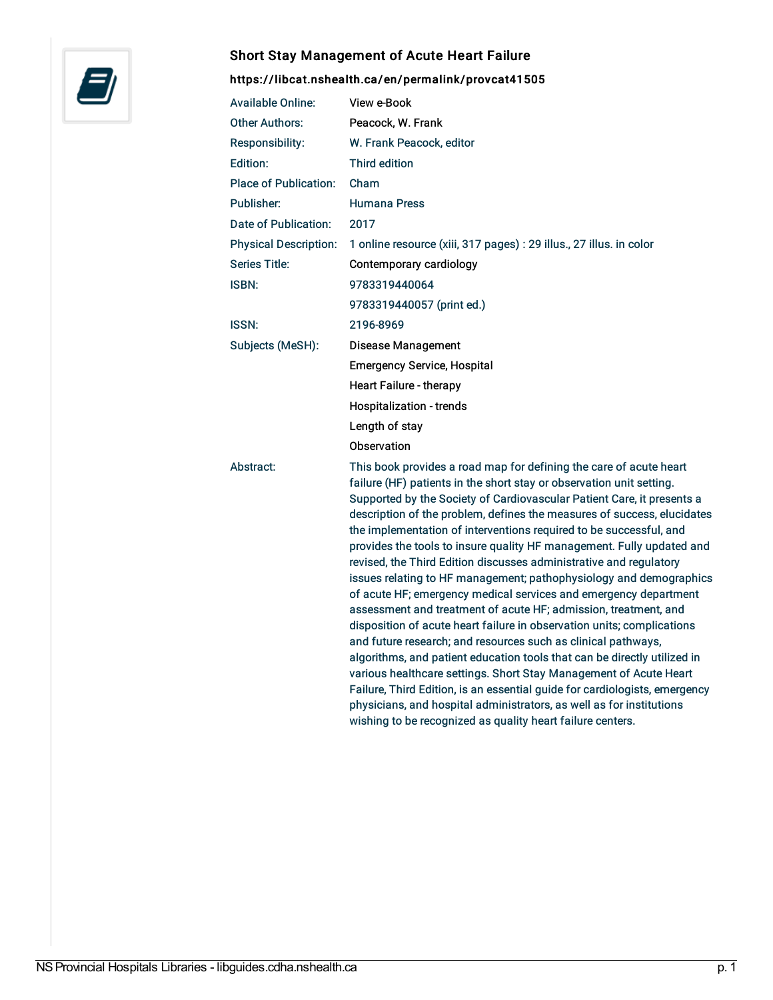

## Short Stay Management of Acute Heart Failure

## <https://libcat.nshealth.ca/en/permalink/provcat41505>

| <b>Available Online:</b>     | View e-Book                                                                                                                                                                                                                                                                                                                                                                                                                                                                                                                                                                                                                                                                                                                                                                                                                                                                                                                                                                                                                                                                                                                                                                                                                                       |
|------------------------------|---------------------------------------------------------------------------------------------------------------------------------------------------------------------------------------------------------------------------------------------------------------------------------------------------------------------------------------------------------------------------------------------------------------------------------------------------------------------------------------------------------------------------------------------------------------------------------------------------------------------------------------------------------------------------------------------------------------------------------------------------------------------------------------------------------------------------------------------------------------------------------------------------------------------------------------------------------------------------------------------------------------------------------------------------------------------------------------------------------------------------------------------------------------------------------------------------------------------------------------------------|
| <b>Other Authors:</b>        | Peacock, W. Frank                                                                                                                                                                                                                                                                                                                                                                                                                                                                                                                                                                                                                                                                                                                                                                                                                                                                                                                                                                                                                                                                                                                                                                                                                                 |
| Responsibility:              | W. Frank Peacock, editor                                                                                                                                                                                                                                                                                                                                                                                                                                                                                                                                                                                                                                                                                                                                                                                                                                                                                                                                                                                                                                                                                                                                                                                                                          |
| Edition:                     | <b>Third edition</b>                                                                                                                                                                                                                                                                                                                                                                                                                                                                                                                                                                                                                                                                                                                                                                                                                                                                                                                                                                                                                                                                                                                                                                                                                              |
| <b>Place of Publication:</b> | Cham                                                                                                                                                                                                                                                                                                                                                                                                                                                                                                                                                                                                                                                                                                                                                                                                                                                                                                                                                                                                                                                                                                                                                                                                                                              |
| Publisher:                   | <b>Humana Press</b>                                                                                                                                                                                                                                                                                                                                                                                                                                                                                                                                                                                                                                                                                                                                                                                                                                                                                                                                                                                                                                                                                                                                                                                                                               |
| Date of Publication:         | 2017                                                                                                                                                                                                                                                                                                                                                                                                                                                                                                                                                                                                                                                                                                                                                                                                                                                                                                                                                                                                                                                                                                                                                                                                                                              |
| <b>Physical Description:</b> | 1 online resource (xiii, 317 pages) : 29 illus., 27 illus. in color                                                                                                                                                                                                                                                                                                                                                                                                                                                                                                                                                                                                                                                                                                                                                                                                                                                                                                                                                                                                                                                                                                                                                                               |
| <b>Series Title:</b>         | Contemporary cardiology                                                                                                                                                                                                                                                                                                                                                                                                                                                                                                                                                                                                                                                                                                                                                                                                                                                                                                                                                                                                                                                                                                                                                                                                                           |
| <b>ISBN:</b>                 | 9783319440064                                                                                                                                                                                                                                                                                                                                                                                                                                                                                                                                                                                                                                                                                                                                                                                                                                                                                                                                                                                                                                                                                                                                                                                                                                     |
|                              | 9783319440057 (print ed.)                                                                                                                                                                                                                                                                                                                                                                                                                                                                                                                                                                                                                                                                                                                                                                                                                                                                                                                                                                                                                                                                                                                                                                                                                         |
| <b>ISSN:</b>                 | 2196-8969                                                                                                                                                                                                                                                                                                                                                                                                                                                                                                                                                                                                                                                                                                                                                                                                                                                                                                                                                                                                                                                                                                                                                                                                                                         |
| Subjects (MeSH):             | <b>Disease Management</b>                                                                                                                                                                                                                                                                                                                                                                                                                                                                                                                                                                                                                                                                                                                                                                                                                                                                                                                                                                                                                                                                                                                                                                                                                         |
|                              | <b>Emergency Service, Hospital</b>                                                                                                                                                                                                                                                                                                                                                                                                                                                                                                                                                                                                                                                                                                                                                                                                                                                                                                                                                                                                                                                                                                                                                                                                                |
|                              | <b>Heart Failure - therapy</b>                                                                                                                                                                                                                                                                                                                                                                                                                                                                                                                                                                                                                                                                                                                                                                                                                                                                                                                                                                                                                                                                                                                                                                                                                    |
|                              | Hospitalization - trends                                                                                                                                                                                                                                                                                                                                                                                                                                                                                                                                                                                                                                                                                                                                                                                                                                                                                                                                                                                                                                                                                                                                                                                                                          |
|                              | Length of stay                                                                                                                                                                                                                                                                                                                                                                                                                                                                                                                                                                                                                                                                                                                                                                                                                                                                                                                                                                                                                                                                                                                                                                                                                                    |
|                              | Observation                                                                                                                                                                                                                                                                                                                                                                                                                                                                                                                                                                                                                                                                                                                                                                                                                                                                                                                                                                                                                                                                                                                                                                                                                                       |
| Abstract:                    | This book provides a road map for defining the care of acute heart<br>failure (HF) patients in the short stay or observation unit setting.<br>Supported by the Society of Cardiovascular Patient Care, it presents a<br>description of the problem, defines the measures of success, elucidates<br>the implementation of interventions required to be successful, and<br>provides the tools to insure quality HF management. Fully updated and<br>revised, the Third Edition discusses administrative and regulatory<br>issues relating to HF management; pathophysiology and demographics<br>of acute HF; emergency medical services and emergency department<br>assessment and treatment of acute HF; admission, treatment, and<br>disposition of acute heart failure in observation units; complications<br>and future research; and resources such as clinical pathways,<br>algorithms, and patient education tools that can be directly utilized in<br>various healthcare settings. Short Stay Management of Acute Heart<br>Failure, Third Edition, is an essential guide for cardiologists, emergency<br>physicians, and hospital administrators, as well as for institutions<br>wishing to be recognized as quality heart failure centers. |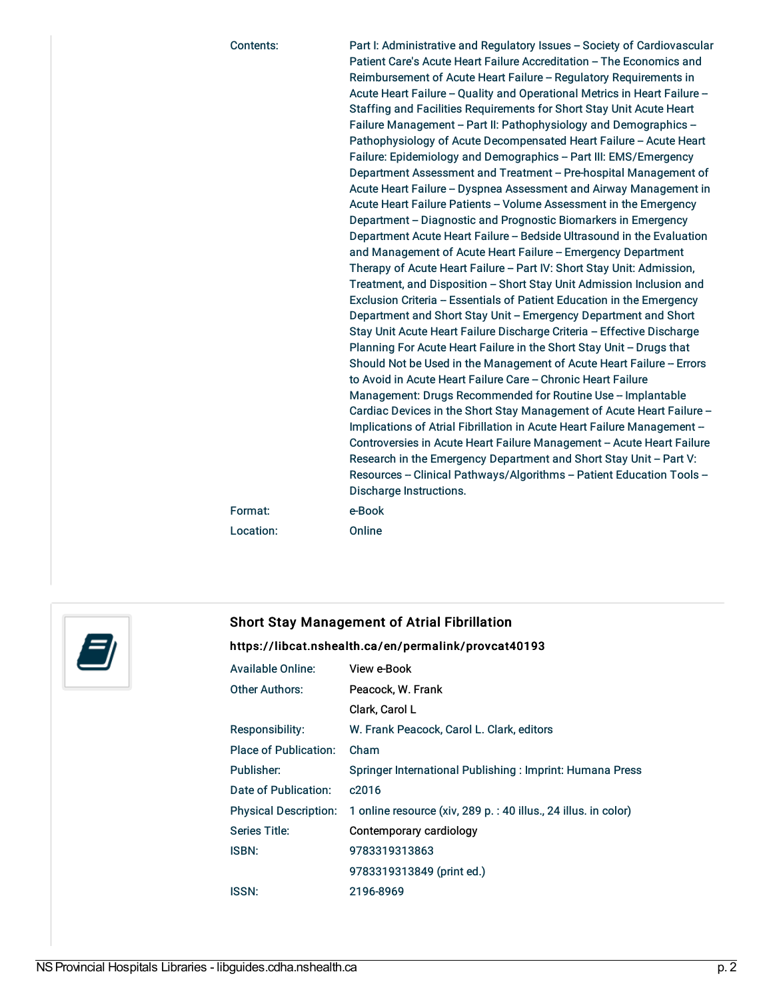| Contents: | Part I: Administrative and Regulatory Issues - Society of Cardiovascular<br>Patient Care's Acute Heart Failure Accreditation - The Economics and<br>Reimbursement of Acute Heart Failure - Regulatory Requirements in<br>Acute Heart Failure - Quality and Operational Metrics in Heart Failure -<br>Staffing and Facilities Requirements for Short Stay Unit Acute Heart<br>Failure Management - Part II: Pathophysiology and Demographics -<br>Pathophysiology of Acute Decompensated Heart Failure - Acute Heart<br>Failure: Epidemiology and Demographics - Part III: EMS/Emergency<br>Department Assessment and Treatment - Pre-hospital Management of<br>Acute Heart Failure - Dyspnea Assessment and Airway Management in<br>Acute Heart Failure Patients - Volume Assessment in the Emergency<br>Department - Diagnostic and Prognostic Biomarkers in Emergency<br>Department Acute Heart Failure - Bedside Ultrasound in the Evaluation<br>and Management of Acute Heart Failure - Emergency Department<br>Therapy of Acute Heart Failure - Part IV: Short Stay Unit: Admission,<br>Treatment, and Disposition – Short Stay Unit Admission Inclusion and<br>Exclusion Criteria - Essentials of Patient Education in the Emergency<br>Department and Short Stay Unit - Emergency Department and Short<br>Stay Unit Acute Heart Failure Discharge Criteria - Effective Discharge<br>Planning For Acute Heart Failure in the Short Stay Unit - Drugs that<br>Should Not be Used in the Management of Acute Heart Failure - Errors<br>to Avoid in Acute Heart Failure Care - Chronic Heart Failure<br>Management: Drugs Recommended for Routine Use - Implantable<br>Cardiac Devices in the Short Stay Management of Acute Heart Failure -<br>Implications of Atrial Fibrillation in Acute Heart Failure Management -<br>Controversies in Acute Heart Failure Management - Acute Heart Failure<br>Research in the Emergency Department and Short Stay Unit - Part V:<br>Resources - Clinical Pathways/Algorithms - Patient Education Tools - |
|-----------|---------------------------------------------------------------------------------------------------------------------------------------------------------------------------------------------------------------------------------------------------------------------------------------------------------------------------------------------------------------------------------------------------------------------------------------------------------------------------------------------------------------------------------------------------------------------------------------------------------------------------------------------------------------------------------------------------------------------------------------------------------------------------------------------------------------------------------------------------------------------------------------------------------------------------------------------------------------------------------------------------------------------------------------------------------------------------------------------------------------------------------------------------------------------------------------------------------------------------------------------------------------------------------------------------------------------------------------------------------------------------------------------------------------------------------------------------------------------------------------------------------------------------------------------------------------------------------------------------------------------------------------------------------------------------------------------------------------------------------------------------------------------------------------------------------------------------------------------------------------------------------------------------------------------------------------------------------------------------------------------------------------------------------------------------|
|           | <b>Discharge Instructions.</b>                                                                                                                                                                                                                                                                                                                                                                                                                                                                                                                                                                                                                                                                                                                                                                                                                                                                                                                                                                                                                                                                                                                                                                                                                                                                                                                                                                                                                                                                                                                                                                                                                                                                                                                                                                                                                                                                                                                                                                                                                    |
| Format:   | e-Book                                                                                                                                                                                                                                                                                                                                                                                                                                                                                                                                                                                                                                                                                                                                                                                                                                                                                                                                                                                                                                                                                                                                                                                                                                                                                                                                                                                                                                                                                                                                                                                                                                                                                                                                                                                                                                                                                                                                                                                                                                            |
| Location: | Online                                                                                                                                                                                                                                                                                                                                                                                                                                                                                                                                                                                                                                                                                                                                                                                                                                                                                                                                                                                                                                                                                                                                                                                                                                                                                                                                                                                                                                                                                                                                                                                                                                                                                                                                                                                                                                                                                                                                                                                                                                            |



## Short Stay Management of Atrial Fibrillation

## <https://libcat.nshealth.ca/en/permalink/provcat40193>

| <b>Available Online:</b>     | View e-Book                                                     |
|------------------------------|-----------------------------------------------------------------|
| Other Authors:               | Peacock, W. Frank                                               |
|                              | Clark, Carol L                                                  |
| Responsibility:              | W. Frank Peacock, Carol L. Clark, editors                       |
| Place of Publication:        | Cham                                                            |
| Publisher:                   | Springer International Publishing: Imprint: Humana Press        |
| Date of Publication:         | c <sub>2016</sub>                                               |
| <b>Physical Description:</b> | 1 online resource (xiv, 289 p. : 40 illus., 24 illus. in color) |
| Series Title:                | Contemporary cardiology                                         |
| <b>ISBN:</b>                 | 9783319313863                                                   |
|                              | 9783319313849 (print ed.)                                       |
| ISSN:                        | 2196-8969                                                       |